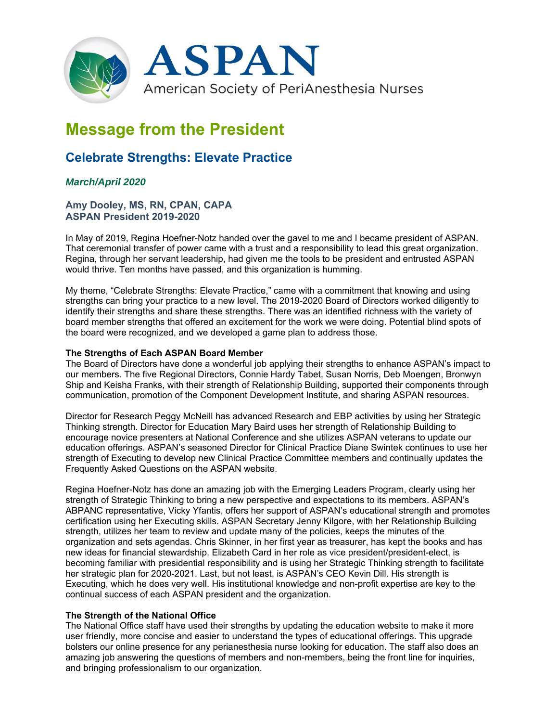

# **Message from the President**

# **Celebrate Strengths: Elevate Practice**

## *March/April 2020*

**Amy Dooley, MS, RN, CPAN, CAPA ASPAN President 2019-2020** 

In May of 2019, Regina Hoefner-Notz handed over the gavel to me and I became president of ASPAN. That ceremonial transfer of power came with a trust and a responsibility to lead this great organization. Regina, through her servant leadership, had given me the tools to be president and entrusted ASPAN would thrive. Ten months have passed, and this organization is humming.

My theme, "Celebrate Strengths: Elevate Practice," came with a commitment that knowing and using strengths can bring your practice to a new level. The 2019-2020 Board of Directors worked diligently to identify their strengths and share these strengths. There was an identified richness with the variety of board member strengths that offered an excitement for the work we were doing. Potential blind spots of the board were recognized, and we developed a game plan to address those.

#### **The Strengths of Each ASPAN Board Member**

The Board of Directors have done a wonderful job applying their strengths to enhance ASPAN's impact to our members. The five Regional Directors, Connie Hardy Tabet, Susan Norris, Deb Moengen, Bronwyn Ship and Keisha Franks, with their strength of Relationship Building, supported their components through communication, promotion of the Component Development Institute, and sharing ASPAN resources.

Director for Research Peggy McNeill has advanced Research and EBP activities by using her Strategic Thinking strength. Director for Education Mary Baird uses her strength of Relationship Building to encourage novice presenters at National Conference and she utilizes ASPAN veterans to update our education offerings. ASPAN's seasoned Director for Clinical Practice Diane Swintek continues to use her strength of Executing to develop new Clinical Practice Committee members and continually updates the Frequently Asked Questions on the ASPAN website.

Regina Hoefner-Notz has done an amazing job with the Emerging Leaders Program, clearly using her strength of Strategic Thinking to bring a new perspective and expectations to its members. ASPAN's ABPANC representative, Vicky Yfantis, offers her support of ASPAN's educational strength and promotes certification using her Executing skills. ASPAN Secretary Jenny Kilgore, with her Relationship Building strength, utilizes her team to review and update many of the policies, keeps the minutes of the organization and sets agendas. Chris Skinner, in her first year as treasurer, has kept the books and has new ideas for financial stewardship. Elizabeth Card in her role as vice president/president-elect, is becoming familiar with presidential responsibility and is using her Strategic Thinking strength to facilitate her strategic plan for 2020-2021. Last, but not least, is ASPAN's CEO Kevin Dill. His strength is Executing, which he does very well. His institutional knowledge and non-profit expertise are key to the continual success of each ASPAN president and the organization.

#### **The Strength of the National Office**

The National Office staff have used their strengths by updating the education website to make it more user friendly, more concise and easier to understand the types of educational offerings. This upgrade bolsters our online presence for any perianesthesia nurse looking for education. The staff also does an amazing job answering the questions of members and non-members, being the front line for inquiries, and bringing professionalism to our organization.